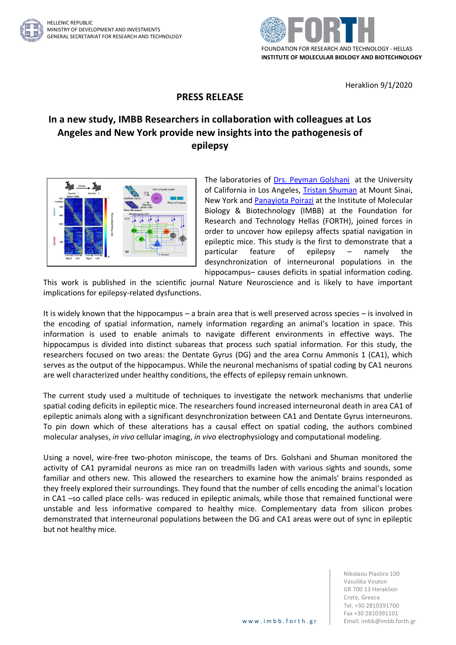

Heraklion 9/1/2020

## **PRESS RELEASE**

## **In a new study, IMBB Researchers in collaboration with colleagues at Los Angeles and New York provide new insights into the pathogenesis of epilepsy**



The laboratories of [Drs. Peyman Golshani](https://golshanilab.neurology.ucla.edu/) at the University of California in Los Angeles, [Tristan Shuman](http://labs.neuroscience.mssm.edu/project/shuman-lab/) at Mount Sinai, New York and [Panayiota Poirazi](http://dendrites.gr/) at the Institute of Molecular Biology & Biotechnology (IMBB) at the Foundation for Research and Technology Hellas (FORTH), joined forces in order to uncover how epilepsy affects spatial navigation in epileptic mice. This study is the first to demonstrate that a particular feature of epilepsy – namely the desynchronization of interneuronal populations in the hippocampus– causes deficits in spatial information coding.

This work is published in the scientific journal Nature Neuroscience and is likely to have important implications for epilepsy-related dysfunctions.

It is widely known that the hippocampus – a brain area that is well preserved across species – is involved in the encoding of spatial information, namely information regarding an animal's location in space. This information is used to enable animals to navigate different environments in effective ways. The hippocampus is divided into distinct subareas that process such spatial information. For this study, the researchers focused on two areas: the Dentate Gyrus (DG) and the area Cornu Ammonis 1 (CA1), which serves as the output of the hippocampus. While the neuronal mechanisms of spatial coding by CA1 neurons are well characterized under healthy conditions, the effects of epilepsy remain unknown.

The current study used a multitude of techniques to investigate the network mechanisms that underlie spatial coding deficits in epileptic mice. The researchers found increased interneuronal death in area CA1 of epileptic animals along with a significant desynchronization between CA1 and Dentate Gyrus interneurons. To pin down which of these alterations has a causal effect on spatial coding, the authors combined molecular analyses, *in vivo* cellular imaging, *in vivo* electrophysiology and computational modeling.

Using a novel, wire-free two-photon miniscope, the teams of Drs. Golshani and Shuman monitored the activity of CA1 pyramidal neurons as mice ran on treadmills laden with various sights and sounds, some familiar and others new. This allowed the researchers to examine how the animals' brains responded as they freely explored their surroundings. They found that the number of cells encoding the animal's location in CA1 –so called place cells- was reduced in epileptic animals, while those that remained functional were unstable and less informative compared to healthy mice. Complementary data from silicon probes demonstrated that interneuronal populations between the DG and CA1 areas were out of sync in epileptic but not healthy mice.

> Nikolaou Plastira 100 Vassilika Vouton GR 700 13 Heraklion Crete, Greece Tel. +30 2810391700 Fax +30 2810391101 www.imbb.forth.gr | Email: imbb@imbb.forth.gr